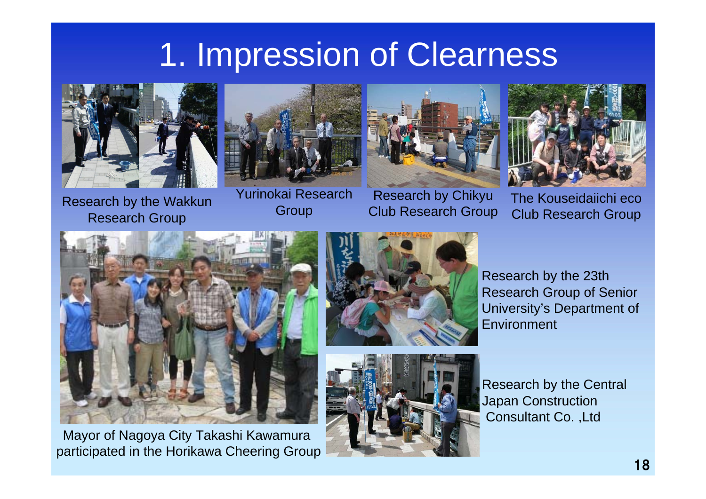# 1. Impression of Clearness



Research by the Wakkun Research Group



Yurinokai Research **Group** 



Research by Chikyu Club Research Group



The Kouseidaiichi eco Club Research Group



Mayor of Nagoya City Takashi Kawamura participated in the Horikawa Cheering Group





Research by the 23th Research Group of Senior University's Department of **Environment** 

Research by the Central Japan Construction Consultant Co. ,Ltd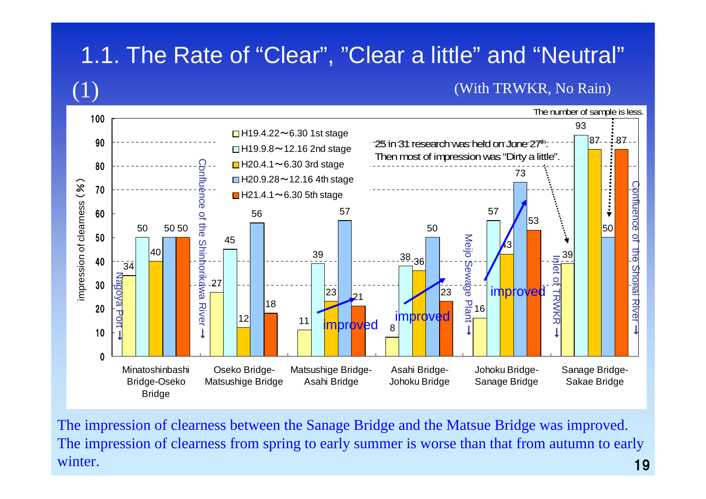### 1.1. The Rate of "Clear", "Clear a little" and "Neutral"

#### (With TRWKR, No Rain)



The impression of clearness between the Sanage Bridge and the Matsue Bridge was improved. The impression of clearness from spring to early summer is worse than that from autumn to early winter.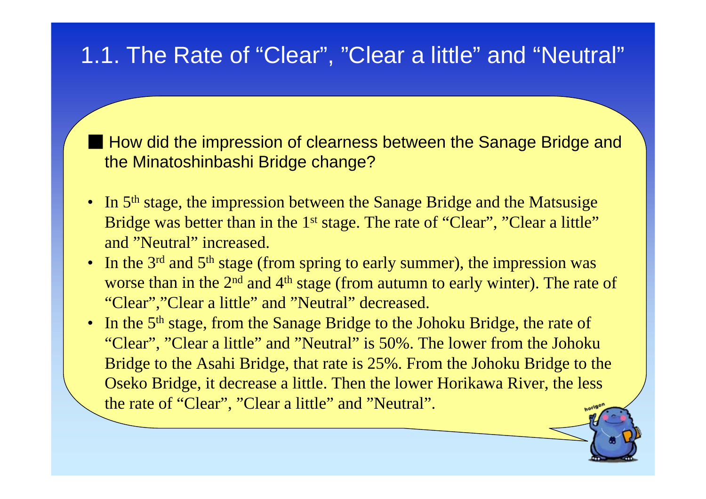#### 1.1. The Rate of "Clear", "Clear a little" and "Neutral"

■ How did the impression of clearness between the Sanage Bridge and the Minatoshinbashi Bridge change?

- In  $5<sup>th</sup>$  stage, the impression between the Sanage Bridge and the Matsusige Bridge was better than in the 1<sup>st</sup> stage. The rate of "Clear", "Clear a little" and "Neutral" increased.
- In the  $3<sup>rd</sup>$  and  $5<sup>th</sup>$  stage (from spring to early summer), the impression was worse than in the  $2<sup>nd</sup>$  and  $4<sup>th</sup>$  stage (from autumn to early winter). The rate of "Clear","Clear a little" and "Neutral" decreased.
- In the 5<sup>th</sup> stage, from the Sanage Bridge to the Johoku Bridge, the rate of "Clear", "Clear a little" and "Neutral" is 50%. The lower from the Johoku Bridge to the Asahi Bridge, that rate is 25%. From the Johoku Bridge to the Oseko Bridge, it decrease a little. Then the lower Horikawa River, the less the rate of "Clear", "Clear a little" and "Neutral".

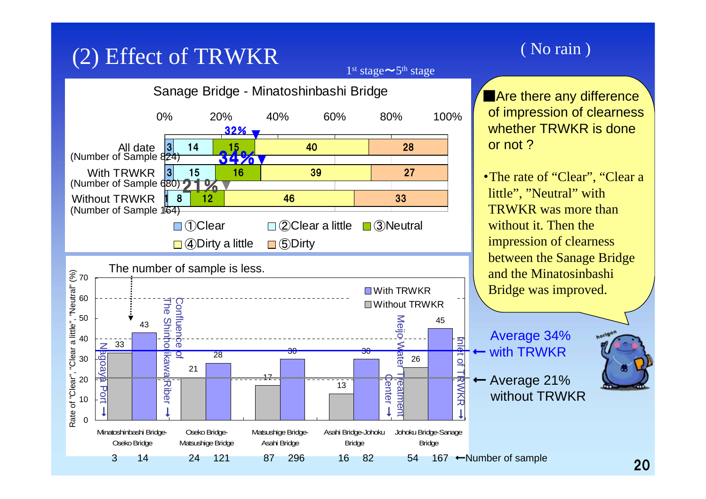## (2) Effect of TRWKR (No rain)

1<sup>st</sup> stage∼5<sup>th</sup> stage





**Are there any difference** of impression of clearness whether TRWKR is done or not ?

• The rate of "Clear", "Clear a little", "Neutral" with TRWKR was more than without it. Then the impression of clearness between the Sanage Bridge and the MinatosinbashiBridge was improved.

Average 34% with TRWKR Average 21% without TRWKR

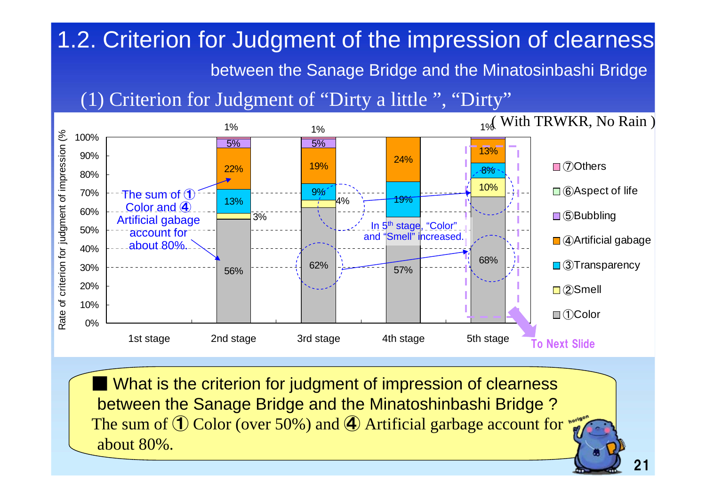## 1.2. Criterion for Judgment of the impression of clearness

between the Sanage Bridge and the Minatosinbashi Bridge

#### (1) Criterion for Judgment of "Dirty a little ", "Dirty"



■ What is the criterion for judgment of impression of clearness between the Sanage Bridge and the Minatoshinbashi Bridge ? The sum of  $\mathbb D$  Color (over 50%) and  $\mathbb Q$  Artificial garbage account for about 80%.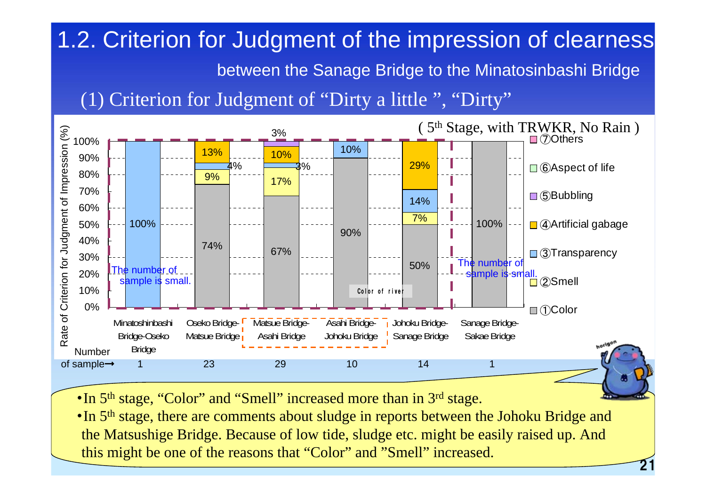## 1.2. Criterion for Judgment of the impression of clearness

b etween the Sanage Bridge to the Minatosinbashi Bridge

21

(1) Criterion for Judgment of "Dirty a little ", "Dirty"



- •In 5<sup>th</sup> stage, "Color" and "Smell" increased more than in 3<sup>rd</sup> stage.
- •In 5<sup>th</sup> stage, there are comments about sludge in reports between the Johoku Bridge and the Matsushige Bridge. Because of low tide, sludge etc. might be easily raised up. And this might be one of the reasons that "Color" and "Smell" increased.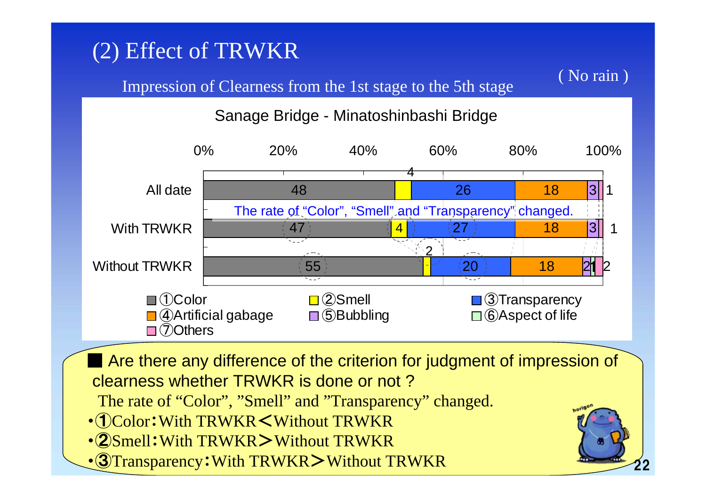## (2) Effect of TRWKR

#### Impression of Clearness from the 1st stage to the 5th stage



Sanage Bridge - Minatoshinbashi Bridge



■ Are there any difference of the criterion for judgment of impression of clearness whether TRWKR is done or not ?

The rate of "Color", "Smell" and "Transparency" changed.

- ・①Color:With TRWKR<Without TRWKR
- ・②Smell:With TRWKR>Without TRWKR
- ・③Transparency:With TRWKR>Without TRWKR